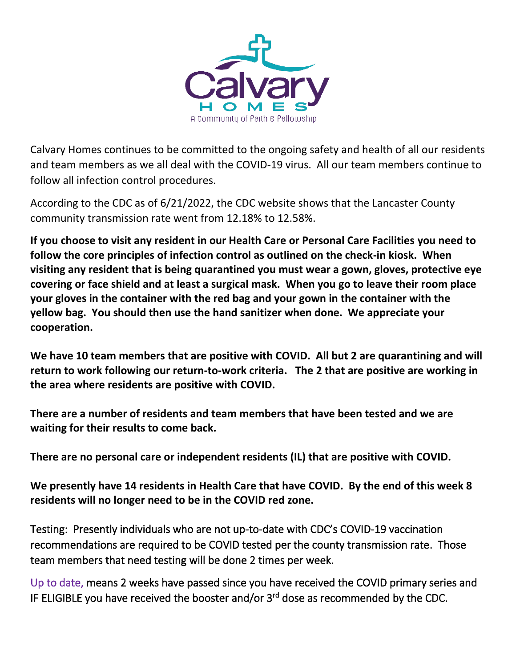

Calvary Homes continues to be committed to the ongoing safety and health of all our residents and team members as we all deal with the COVID-19 virus. All our team members continue to follow all infection control procedures.

According to the CDC as of 6/21/2022, the CDC website shows that the Lancaster County community transmission rate went from 12.18% to 12.58%.

**If you choose to visit any resident in our Health Care or Personal Care Facilities you need to follow the core principles of infection control as outlined on the check-in kiosk. When visiting any resident that is being quarantined you must wear a gown, gloves, protective eye covering or face shield and at least a surgical mask. When you go to leave their room place your gloves in the container with the red bag and your gown in the container with the yellow bag. You should then use the hand sanitizer when done. We appreciate your cooperation.** 

**We have 10 team members that are positive with COVID. All but 2 are quarantining and will return to work following our return-to-work criteria. The 2 that are positive are working in the area where residents are positive with COVID.**

**There are a number of residents and team members that have been tested and we are waiting for their results to come back.** 

**There are no personal care or independent residents (IL) that are positive with COVID.** 

**We presently have 14 residents in Health Care that have COVID. By the end of this week 8 residents will no longer need to be in the COVID red zone.** 

Testing: Presently individuals who are not up-to-date with CDC's COVID-19 vaccination recommendations are required to be COVID tested per the county transmission rate. Those team members that need testing will be done 2 times per week.

Up to date, means 2 weeks have passed since you have received the COVID primary series and IF ELIGIBLE you have received the booster and/or 3<sup>rd</sup> dose as recommended by the CDC.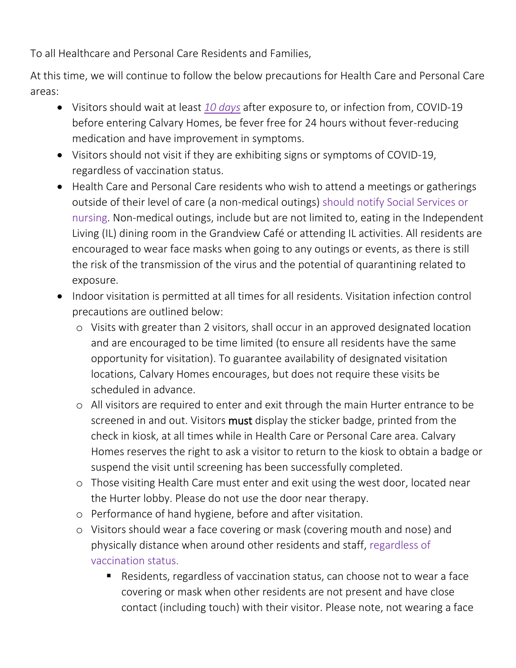To all Healthcare and Personal Care Residents and Families,

At this time, we will continue to follow the below precautions for Health Care and Personal Care areas:

- Visitors should wait at least *10 days* after exposure to, or infection from, COVID-19 before entering Calvary Homes, be fever free for 24 hours without fever-reducing medication and have improvement in symptoms.
- Visitors should not visit if they are exhibiting signs or symptoms of COVID-19, regardless of vaccination status.
- Health Care and Personal Care residents who wish to attend a meetings or gatherings outside of their level of care (a non-medical outings) should notify Social Services or nursing. Non-medical outings, include but are not limited to, eating in the Independent Living (IL) dining room in the Grandview Café or attending IL activities. All residents are encouraged to wear face masks when going to any outings or events, as there is still the risk of the transmission of the virus and the potential of quarantining related to exposure.
- Indoor visitation is permitted at all times for all residents. Visitation infection control precautions are outlined below:
	- o Visits with greater than 2 visitors, shall occur in an approved designated location and are encouraged to be time limited (to ensure all residents have the same opportunity for visitation). To guarantee availability of designated visitation locations, Calvary Homes encourages, but does not require these visits be scheduled in advance.
	- o All visitors are required to enter and exit through the main Hurter entrance to be screened in and out. Visitors must display the sticker badge, printed from the check in kiosk, at all times while in Health Care or Personal Care area. Calvary Homes reserves the right to ask a visitor to return to the kiosk to obtain a badge or suspend the visit until screening has been successfully completed.
	- o Those visiting Health Care must enter and exit using the west door, located near the Hurter lobby. Please do not use the door near therapy.
	- o Performance of hand hygiene, before and after visitation.
	- o Visitors should wear a face covering or mask (covering mouth and nose) and physically distance when around other residents and staff, regardless of vaccination status.
		- Residents, regardless of vaccination status, can choose not to wear a face covering or mask when other residents are not present and have close contact (including touch) with their visitor. Please note, not wearing a face